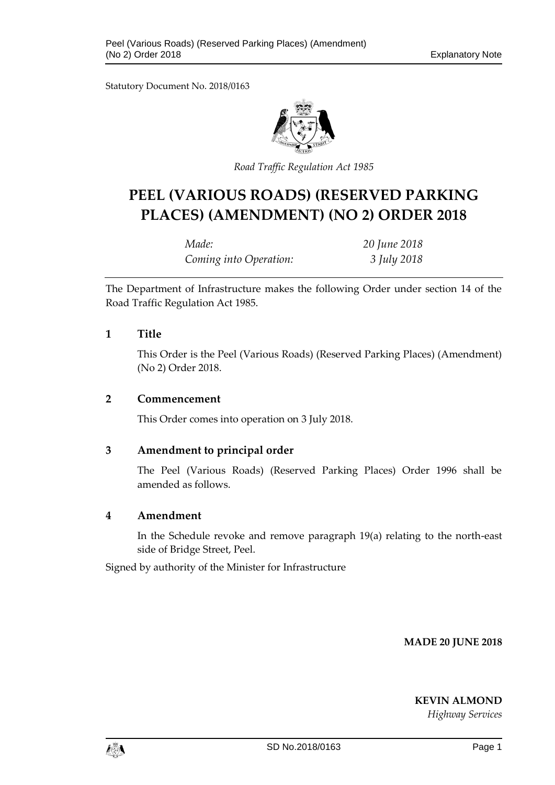

*Road Traffic Regulation Act 1985*

# **PEEL (VARIOUS ROADS) (RESERVED PARKING PLACES) (AMENDMENT) (NO 2) ORDER 2018**

| Made:                  | 20 June 2018 |
|------------------------|--------------|
| Coming into Operation: | 3 July 2018  |

The Department of Infrastructure makes the following Order under section 14 of the Road Traffic Regulation Act 1985.

#### **1 Title**

This Order is the Peel (Various Roads) (Reserved Parking Places) (Amendment) (No 2) Order 2018.

#### **2 Commencement**

This Order comes into operation on 3 July 2018.

#### **3 Amendment to principal order**

The Peel (Various Roads) (Reserved Parking Places) Order 1996 shall be amended as follows.

#### **4 Amendment**

In the Schedule revoke and remove paragraph 19(a) relating to the north-east side of Bridge Street, Peel.

Signed by authority of the Minister for Infrastructure

**MADE 20 JUNE 2018**

**KEVIN ALMOND**

*Highway Services*